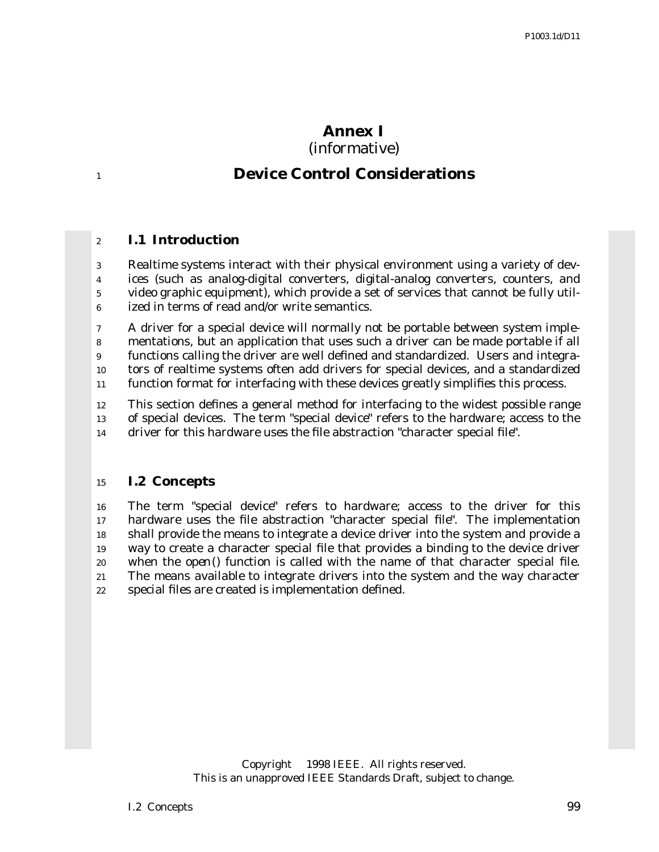## **Annex I** (informative)

# **Device Control Considerations**

## **I.1 Introduction**

 Realtime systems interact with their physical environment using a variety of dev- ices (such as analog-digital converters, digital-analog converters, counters, and video graphic equipment), which provide a set of services that cannot be fully util-ized in terms of read and/or write semantics.

 A driver for a special device will normally not be portable between system imple- mentations, but an application that uses such a driver can be made portable if all functions calling the driver are well defined and standardized. Users and integra-tors of realtime systems often add drivers for special devices, and a standardized

function format for interfacing with these devices greatly simplifies this process.

 This section defines a general method for interfacing to the widest possible range of special devices. The term "special device" refers to the hardware; access to the driver for this hardware uses the file abstraction "character special file".

#### **I.2 Concepts**

 The term "special device" refers to hardware; access to the driver for this hardware uses the file abstraction "character special file". The implementation shall provide the means to integrate a device driver into the system and provide a way to create a character special file that provides a binding to the device driver when the *open*() function is called with the name of that character special file. The means available to integrate drivers into the system and the way character special files are created is implementation defined.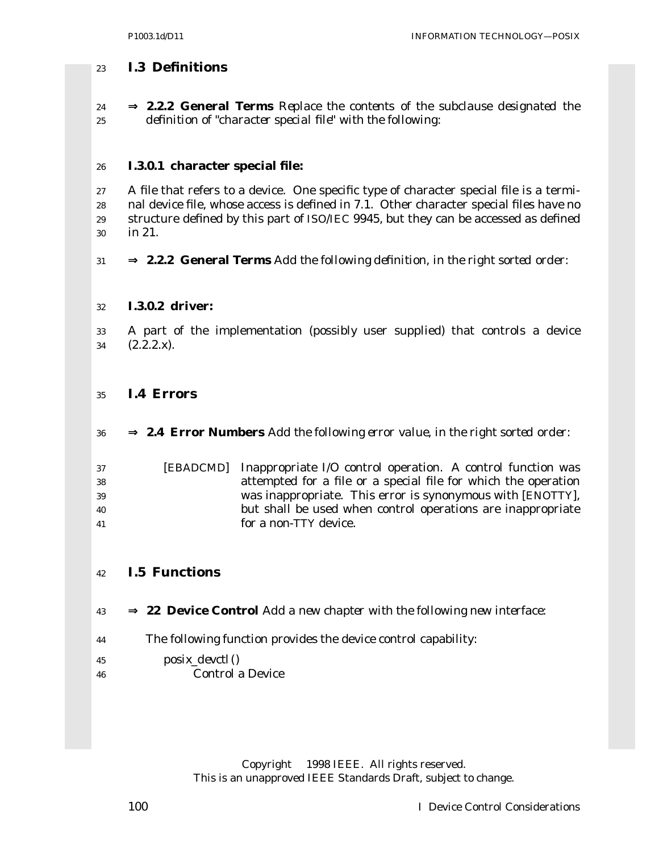## **I.3 Definitions**

 ⇒ **2.2.2 General Terms** *Replace the contents of the subclause designated the definition of "character special file" with the following:*

## **I.3.0.1 character special file:**

 A file that refers to a device. One specific type of character special file is a termi- nal device file, whose access is defined in 7.1. Other character special files have no structure defined by this part of ISO/IEC 9945, but they can be accessed as defined in 21.

⇒ **2.2.2 General Terms** *Add the following definition, in the right sorted order:*

## **I.3.0.2 driver:**

 A part of the implementation (possibly user supplied) that controls a device (2.2.2.x).

## **I.4 Errors**

⇒ **2.4 Error Numbers** *Add the following error value, in the right sorted order:*

| 37  | [EBADCMD] Inappropriate I/O control operation. A control function was |
|-----|-----------------------------------------------------------------------|
| 38  | attempted for a file or a special file for which the operation        |
| -39 | was inappropriate. This error is synonymous with [ENOTTY],            |
| 40  | but shall be used when control operations are inappropriate           |
| 41  | for a non-TTY device.                                                 |

## **I.5 Functions**

- ⇒ **22 Device Control** *Add a new chapter with the following new interface:*
- The following function provides the device control capability:
- *posix\_devctl*() Control a Device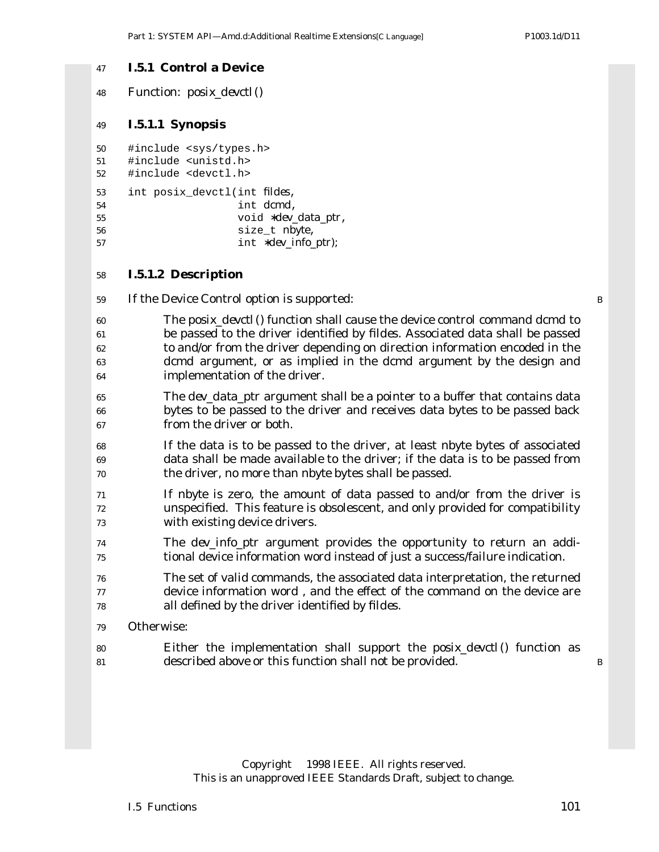#### **I.5.1 Control a Device**

Function: *posix\_devctl*()

#### **I.5.1.1 Synopsis**

```
50 #include <sys/types.h>
```
- #include <unistd.h>
- #include <devctl.h>

```
53 int posix_devctl(int fildes,
54 int dcmd,
55 void ∗dev_data_ptr,
56 size_t nbyte,
57 int ∗dev_info_ptr);
```
#### **I.5.1.2 Description**

If the Device Control option is supported: B

- The *posix\_devctl*() function shall cause the device control command *dcmd* to be passed to the driver identified by *fildes*. Associated data shall be passed to and/or from the driver depending on direction information encoded in the *dcmd* argument, or as implied in the *dcmd* argument by the design and implementation of the driver.
- The *dev\_data\_ptr* argument shall be a pointer to a buffer that contains data bytes to be passed to the driver and receives data bytes to be passed back from the driver or both.
- If the data is to be passed to the driver, at least *nbyte* bytes of associated data shall be made available to the driver; if the data is to be passed from the driver, no more than *nbyte* bytes shall be passed.
- If *nbyte* is zero, the amount of data passed to and/or from the driver is unspecified. This feature is obsolescent, and only provided for compatibility with existing device drivers.
- The *dev\_info\_ptr* argument provides the opportunity to return an addi-tional device information word instead of just a success/failure indication.
- The set of valid commands, the associated data interpretation, the returned device information word , and the effect of the command on the device are all defined by the driver identified by *fildes*.
- Otherwise:
- Either the implementation shall support the *posix\_devctl*() function as 81 described above or this function shall not be provided. B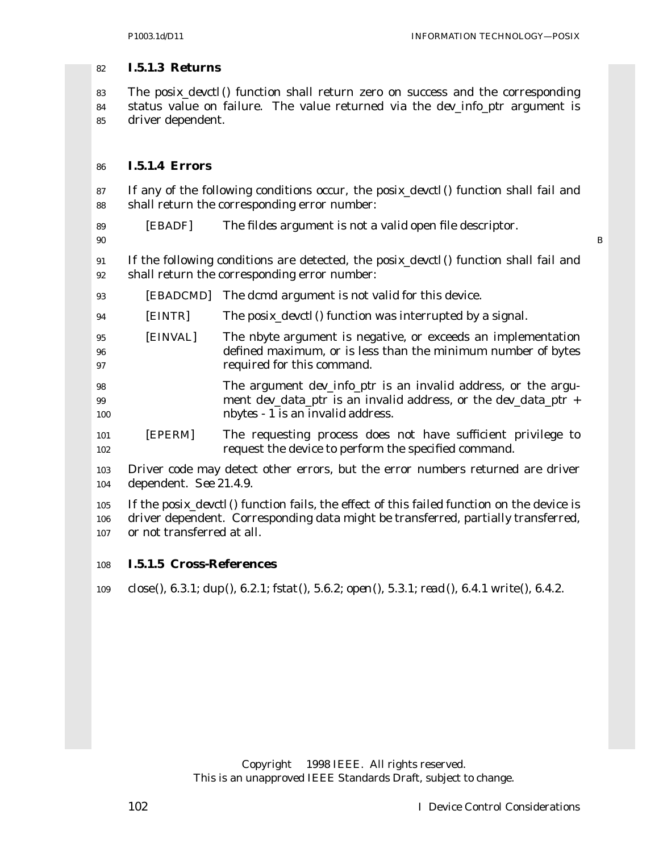#### **I.5.1.3 Returns**

 The *posix\_devctl*() function shall return zero on success and the corresponding status value on failure. The value returned via the *dev\_info\_ptr* argument is driver dependent.

#### **I.5.1.4 Errors**

 If any of the following conditions occur, the *posix\_devctl*() function shall fail and shall return the corresponding error number:

- [EBADF] The *fildes* argument is not a valid open file descriptor.
- B

 If the following conditions are detected, the *posix\_devctl*() function shall fail and shall return the corresponding error number:

- [EBADCMD] The *dcmd* argument is not valid for this device.
- [EINTR] The *posix\_devctl*() function was interrupted by a signal.
- [EINVAL] The *nbyte* argument is negative, or exceeds an implementation defined maximum, or is less than the minimum number of bytes required for this command.
- The argument *dev\_info\_ptr* is an invalid address, or the argu- ment *dev\_data\_ptr* is an invalid address, or the *dev\_data\_ptr* + *nbytes* - 1 is an invalid address.
- [EPERM] The requesting process does not have sufficient privilege to request the device to perform the specified command.
- Driver code may detect other errors, but the error numbers returned are driver dependent. *See* 21.4.9.
- If the *posix\_devctl*() function fails, the effect of this failed function on the device is driver dependent. Corresponding data might be transferred, partially transferred, or not transferred at all.

#### **I.5.1.5 Cross-References**

*close*(), 6.3.1; *dup*(), 6.2.1; *fstat*(), 5.6.2; *open*(), 5.3.1; *read*(), 6.4.1 *write*(), 6.4.2.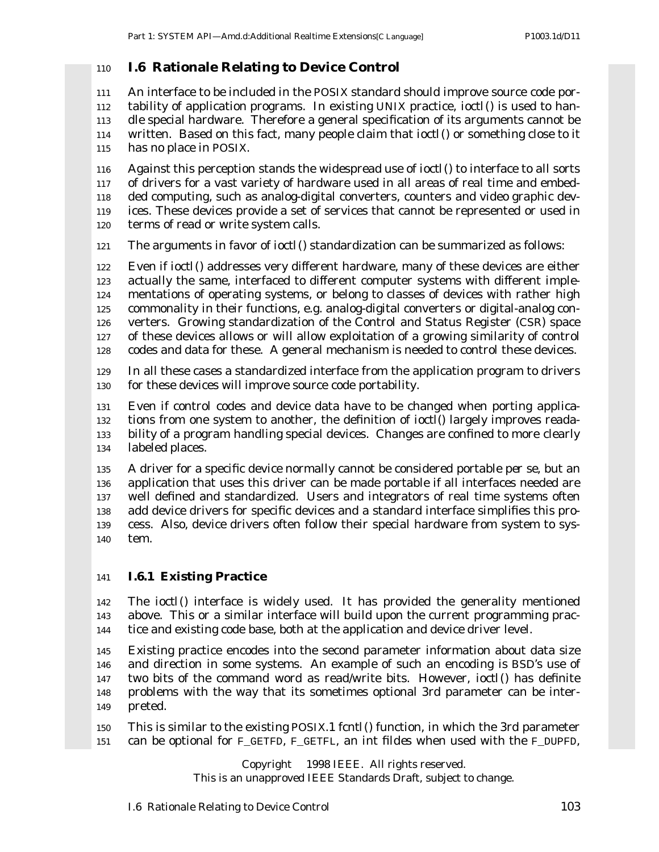## **I.6 Rationale Relating to Device Control**

 An interface to be included in the POSIX standard should improve source code por- tability of application programs. In existing UNIX practice, *ioctl*() is used to han- dle special hardware. Therefore a general specification of its arguments cannot be written. Based on this fact, many people claim that *ioctl*() or something close to it has no place in POSIX.

 Against this perception stands the widespread use of *ioctl*() to interface to all sorts of drivers for a vast variety of hardware used in all areas of real time and embed- ded computing, such as analog-digital converters, counters and video graphic dev- ices. These devices provide a set of services that cannot be represented or used in terms of read or write system calls.

The arguments in favor of *ioctl*() standardization can be summarized as follows:

 Even if *ioctl*() addresses very different hardware, many of these devices are either actually the same, interfaced to different computer systems with different imple- mentations of operating systems, or belong to classes of devices with rather high commonality in their functions, e.g. analog-digital converters or digital-analog con- verters. Growing standardization of the Control and Status Register (CSR) space of these devices allows or will allow exploitation of a growing similarity of control codes and data for these. A general mechanism is needed to control these devices.

 In all these cases a standardized interface from the application program to drivers for these devices will improve source code portability.

 Even if control codes and device data have to be changed when porting applica- tions from one system to another, the definition of *ioctl*() largely improves reada- bility of a program handling special devices. Changes are confined to more clearly labeled places.

 A driver for a specific device normally cannot be considered portable *per se*, but an application that uses this driver can be made portable if all interfaces needed are well defined and standardized. Users and integrators of real time systems often add device drivers for specific devices and a standard interface simplifies this pro- cess. Also, device drivers often follow their special hardware from system to sys-tem.

## **I.6.1 Existing Practice**

 The *ioctl*() interface is widely used. It has provided the generality mentioned above. This or a similar interface will build upon the current programming prac-tice and existing code base, both at the application and device driver level.

 Existing practice encodes into the second parameter information about data size and direction in some systems. An example of such an encoding is BSD's use of two bits of the command word as read/write bits. However, *ioctl*() has definite problems with the way that its sometimes optional 3rd parameter can be inter-preted.

 This is similar to the existing POSIX.1 *fcntl*() function, in which the 3rd parameter can be optional for F\_GETFD, F\_GETFL, an int *fildes* when used with the F\_DUPFD,

Copyright © 1998 IEEE. All rights reserved.

This is an unapproved IEEE Standards Draft, subject to change.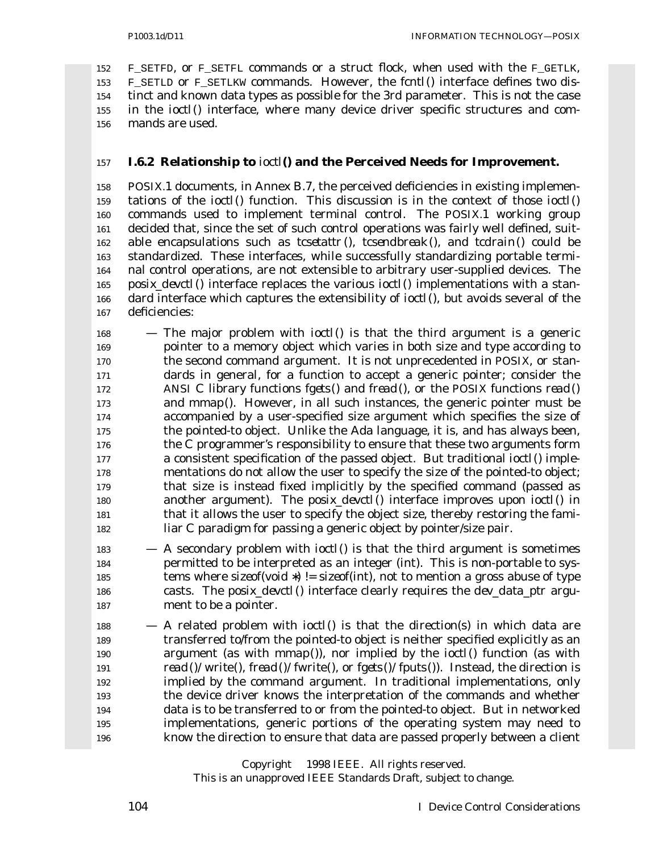F\_SETFD, or F\_SETFL commands or a struct *flock*, when used with the F\_GETLK, F\_SETLD or F\_SETLKW commands. However, the *fcntl*() interface defines two dis- tinct and known data types as possible for the 3rd parameter. This is not the case in the *ioctl*() interface, where many device driver specific structures and com-mands are used.

### **I.6.2 Relationship to** *ioctl***() and the Perceived Needs for Improvement.**

 POSIX.1 documents, in Annex B.7, the perceived deficiencies in existing implemen- tations of the *ioctl*() function. This discussion is in the context of those *ioctl*() commands used to implement terminal control. The POSIX.1 working group decided that, since the set of such control operations was fairly well defined, suit- able encapsulations such as *tcsetattr* (), *tcsendbreak*(), and *tcdrain*() could be standardized. These interfaces, while successfully standardizing portable termi- nal control operations, are not extensible to arbitrary user-supplied devices. The *posix\_devctl*() interface replaces the various *ioctl*() implementations with a stan- dard interface which captures the extensibility of *ioctl*(), but avoids several of the deficiencies:

 — The major problem with *ioctl*() is that the third argument is a generic pointer to a memory object which varies in both size and type according to the second *command* argument. It is not unprecedented in POSIX, or stan- dards in general, for a function to accept a generic pointer; consider the ANSI C library functions *fgets*() and *fread*(), or the POSIX functions *read*() and *mmap*(). However, in all such instances, the generic pointer must be accompanied by a user-specified size argument which specifies the size of the pointed-to object. Unlike the Ada language, it is, and has always been, the C programmer's responsibility to ensure that these two arguments form a consistent specification of the passed object. But traditional *ioctl*() imple- mentations do not allow the user to specify the size of the pointed-to object; that size is instead fixed implicitly by the specified command (passed as another argument). The *posix\_devctl*() interface improves upon *ioctl*() in that it allows the user to specify the object size, thereby restoring the fami-liar C paradigm for passing a generic object by pointer/size pair.

 — A secondary problem with *ioctl*() is that the third argument is sometimes permitted to be interpreted as an integer (int). This is non-portable to sys- tems where *sizeof*(void ∗) != *sizeof*(int), not to mention a gross abuse of type casts. The *posix\_devctl*() interface clearly requires the *dev\_data\_ptr* argu-ment to be a pointer.

 — A related problem with *ioctl*() is that the direction(s) in which data are transferred to/from the pointed-to object is neither specified explicitly as an argument (as with *mmap*()), nor implied by the *ioctl*() function (as with *read*()/ *write*(), *fread*()/ *fwrite*(), or *fgets*()/ *fputs*()). Instead, the direction is implied by the *command* argument. In traditional implementations, only the device driver knows the interpretation of the commands and whether data is to be transferred to or from the pointed-to object. But in networked implementations, generic portions of the operating system may need to know the direction to ensure that data are passed properly between a client

Copyright © 1998 IEEE. All rights reserved.

This is an unapproved IEEE Standards Draft, subject to change.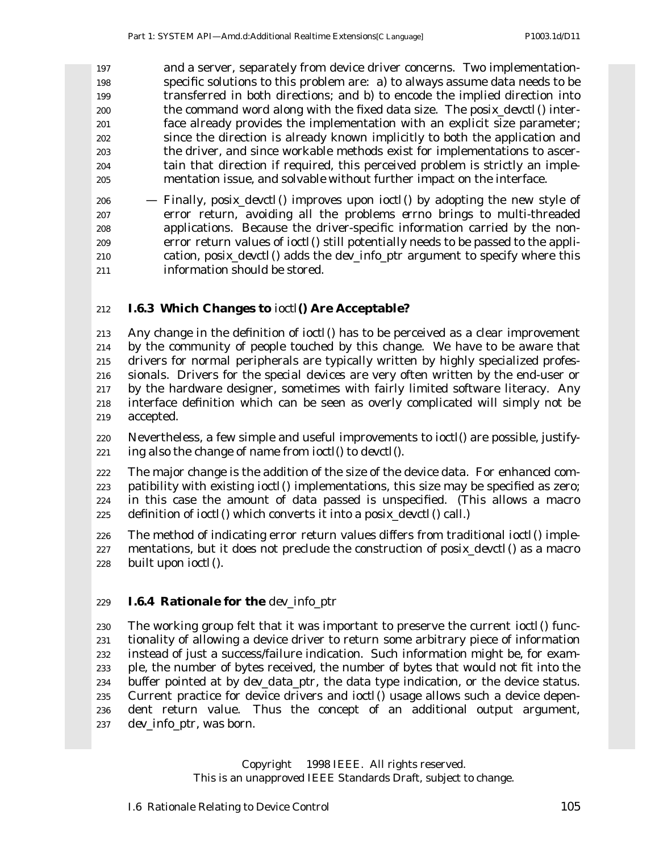and a server, separately from device driver concerns. Two implementation- specific solutions to this problem are: a) to always assume data needs to be transferred in both directions; and b) to encode the implied direction into the command word along with the fixed data size. The *posix\_devctl*() inter- face already provides the implementation with an explicit size parameter; since the direction is already known implicitly to both the application and the driver, and since workable methods exist for implementations to ascer- tain that direction if required, this perceived problem is strictly an imple-mentation issue, and solvable without further impact on the interface.

 — Finally, *posix\_devctl*() improves upon *ioctl*() by adopting the new style of error return, avoiding all the problems *errno* brings to multi-threaded applications. Because the driver-specific information carried by the non- error return values of *ioctl*() still potentially needs to be passed to the appli- cation, *posix\_devctl*() adds the *dev\_info\_ptr* argument to specify where this information should be stored.

#### **I.6.3 Which Changes to** *ioctl***() Are Acceptable?**

 Any change in the definition of *ioctl*() has to be perceived as a clear improvement by the community of people touched by this change. We have to be aware that drivers for *normal* peripherals are typically written by highly specialized profes- sionals. Drivers for the *special devices* are very often written by the end-user or by the hardware designer, sometimes with fairly limited software literacy. Any interface definition which can be seen as overly complicated will simply not be accepted.

 Nevertheless, a few simple and useful improvements to *ioctl*() are possible, justify-ing also the change of name from *ioctl*() to *devctl*().

 The major change is the addition of the size of the device data. For enhanced com- patibility with existing *ioctl*() implementations, this size may be specified as zero; in this case the amount of data passed is unspecified. (This allows a macro definition of *ioctl*() which converts it into a *posix\_devctl*() call.)

 The method of indicating error return values differs from traditional *ioctl*() imple- mentations, but it does not preclude the construction of *posix\_devctl*() as a macro built upon *ioctl*().

#### **I.6.4 Rationale for the** *dev\_info\_ptr*

 The working group felt that it was important to preserve the current *ioctl*() func- tionality of allowing a device driver to return some arbitrary piece of information instead of just a success/failure indication. Such information might be, for exam- ple, the number of bytes received, the number of bytes that would not fit into the buffer pointed at by *dev\_data\_ptr*, the data type indication, or the device status. Current practice for device drivers and *ioctl*() usage allows such a device depen- dent return value. Thus the concept of an additional output argument, *dev\_info\_ptr*, was born.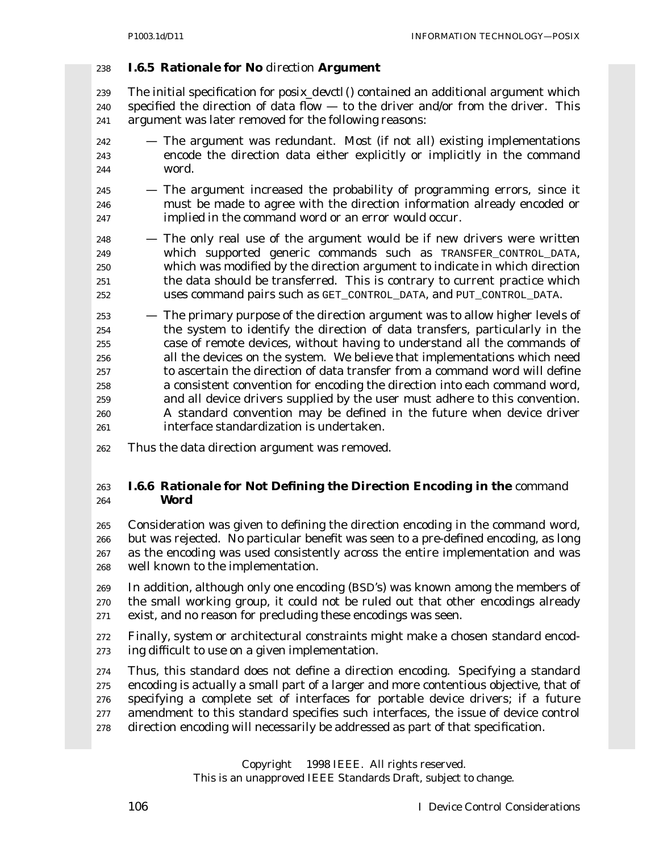#### **I.6.5 Rationale for No** *direction* **Argument**

 The initial specification for *posix\_devctl*() contained an additional argument which specified the direction of data flow — to the driver and/or from the driver. This argument was later removed for the following reasons:

- The argument was redundant. Most (if not all) existing implementations encode the direction data either explicitly or implicitly in the command word.
- The argument increased the probability of programming errors, since it must be made to agree with the direction information already encoded or implied in the command word or an error would occur.

 — The only real use of the argument would be if new drivers were written which supported generic commands such as TRANSFER\_CONTROL\_DATA, which was modified by the direction argument to indicate in which direction the data should be transferred. This is contrary to current practice which uses command pairs such as GET\_CONTROL\_DATA, and PUT\_CONTROL\_DATA.

 — The primary purpose of the direction argument was to allow higher levels of the system to identify the direction of data transfers, particularly in the case of remote devices, without having to understand all the commands of all the devices on the system. We believe that implementations which need to ascertain the direction of data transfer from a command word will define a consistent convention for encoding the direction into each command word, and all device drivers supplied by the user must adhere to this convention. A standard convention may be defined in the future when device driver interface standardization is undertaken.

Thus the data direction argument was removed.

## **I.6.6 Rationale for Not Defining the Direction Encoding in the** *command* **Word**

 Consideration was given to defining the direction encoding in the command word, but was rejected. No particular benefit was seen to a pre-defined encoding, as long as the encoding was used consistently across the entire implementation and was well known to the implementation.

 In addition, although only one encoding (BSD's) was known among the members of the small working group, it could not be ruled out that other encodings already exist, and no reason for precluding these encodings was seen.

- Finally, system or architectural constraints might make a chosen standard encod-ing difficult to use on a given implementation.
- Thus, this standard does not define a direction encoding. Specifying a standard encoding is actually a small part of a larger and more contentious objective, that of specifying a complete set of interfaces for portable device drivers; if a future amendment to this standard specifies such interfaces, the issue of device control direction encoding will necessarily be addressed as part of that specification.

Copyright © 1998 IEEE. All rights reserved.

This is an unapproved IEEE Standards Draft, subject to change.